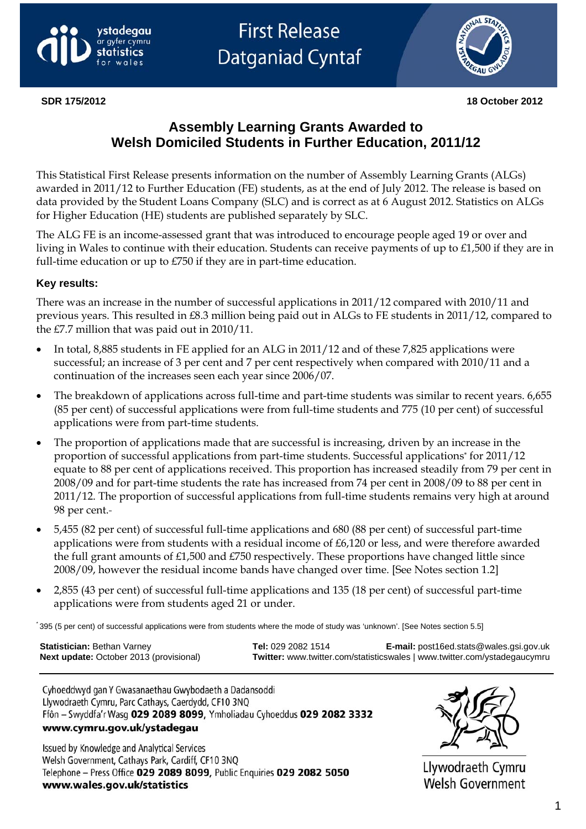

**First Release Datganiad Cyntaf** 



## **Assembly Learning Grants Awarded to Welsh Domiciled Students in Further Education, 2011/12**

This Statistical First Release presents information on the number of Assembly Learning Grants (ALGs) awarded in 2011/12 to Further Education (FE) students, as at the end of July 2012. The release is based on data provided by the Student Loans Company (SLC) and is correct as at 6 August 2012. Statistics on ALGs for Higher Education (HE) students are published separately by SLC.

The ALG FE is an income-assessed grant that was introduced to encourage people aged 19 or over and living in Wales to continue with their education. Students can receive payments of up to £1,500 if they are in full-time education or up to £750 if they are in part-time education.

### **Key results:**

There was an increase in the number of successful applications in 2011/12 compared with 2010/11 and previous years. This resulted in £8.3 million being paid out in ALGs to FE students in 2011/12, compared to the £7.7 million that was paid out in 2010/11.

- In total, 8,885 students in FE applied for an ALG in 2011/12 and of these 7,825 applications were successful; an increase of 3 per cent and 7 per cent respectively when compared with 2010/11 and a continuation of the increases seen each year since 2006/07.
- The breakdown of applications across full-time and part-time students was similar to recent years. 6,655 (85 per cent) of successful applications were from full-time students and 775 (10 per cent) of successful applications were from part-time students.
- The proportion of applications made that are successful is increasing, driven by an increase in the proportion of successful applications from part-time students. Successful applications\* for 2011/12 equate to 88 per cent of applications received. This proportion has increased steadily from 79 per cent in 2008/09 and for part-time students the rate has increased from 74 per cent in 2008/09 to 88 per cent in 2011/12. The proportion of successful applications from full-time students remains very high at around 98 per cent.
- 5,455 (82 per cent) of successful full-time applications and 680 (88 per cent) of successful part-time applications were from students with a residual income of £6,120 or less, and were therefore awarded the full grant amounts of £1,500 and £750 respectively. These proportions have changed little since 2008/09, however the residual income bands have changed over time. [See Notes section 1.2]
- 2,855 (43 per cent) of successful full-time applications and 135 (18 per cent) of successful part-time applications were from students aged 21 or under.

\* 395 (5 per cent) of successful applications were from students where the mode of study was 'unknown'. [See Notes section 5.5]

**Statistician:** Bethan Varney **Tel:** 029 2082 1514 **E-mail:** [post16ed.stats@wales.gsi.gov.uk](mailto:post16ed.stats@wales.gsi.gov.uk)  **Next update:** October 2013 (provisional) **Twitter:** www.twitter.com/statisticswales | www.twitter.com/ystadegaucymru

Cyhoeddwyd gan Y Gwasanaethau Gwybodaeth a Dadansoddi Llywodraeth Cymru, Parc Cathays, Caerdydd, CF10 3NQ Ffôn - Swyddfa'r Wasg 029 2089 8099, Ymholiadau Cyhoeddus 029 2082 3332 www.cymru.gov.uk/ystadegau

Issued by Knowledge and Analytical Services Welsh Government, Cathays Park, Cardiff, CF10 3NQ Telephone - Press Office 029 2089 8099, Public Enquiries 029 2082 5050 www.wales.gov.uk/statistics



Llywodraeth Cymru **Welsh Government**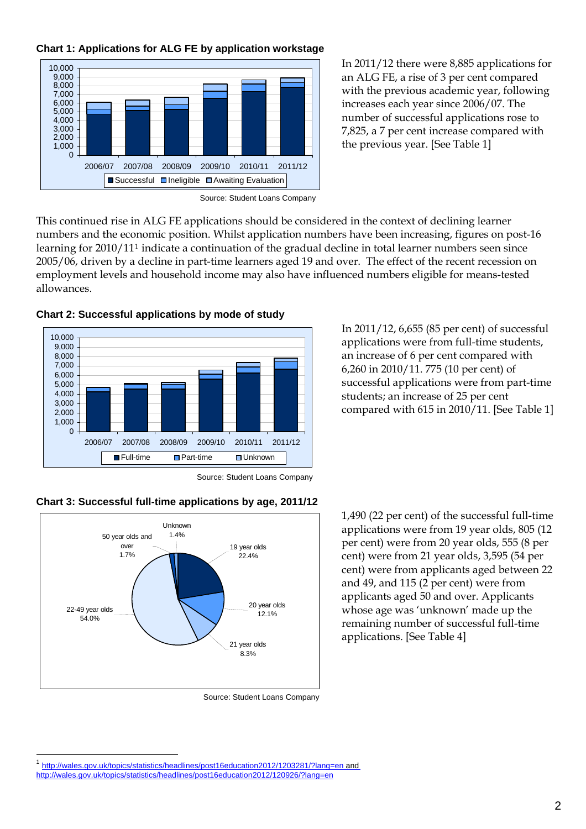#### **Chart 1: Applications for ALG FE by application workstage**



In 2011/12 there were 8,885 applications for an ALG FE, a rise of 3 per cent compared with the previous academic year, following increases each year since 2006/07. The number of successful applications rose to 7,825, a 7 per cent increase compared with the previous year. [See Table 1]

Source: Student Loans Company

This continued rise in ALG FE applications should be considered in the context of declining learner numbers and the economic position. Whilst application numbers have been increasing, figures on post-16 learning for 2010/11[1](#page-1-0) indicate a continuation of the gradual decline in total learner numbers seen since 2005/06, driven by a decline in part-time learners aged 19 and over. The effect of the recent recession on employment levels and household income may also have influenced numbers eligible for means-tested allowances.



**Chart 2: Successful applications by mode of study** 

In 2011/12, 6,655 (85 per cent) of successful applications were from full-time students, an increase of 6 per cent compared with 6,260 in 2010/11. 775 (10 per cent) of successful applications were from part-time students; an increase of 25 per cent compared with 615 in 2010/11. [See Table 1]

Source: Student Loans Company



**Chart 3: Successful full-time applications by age, 2011/12** 

Source: Student Loans Company

1,490 (22 per cent) of the successful full-time applications were from 19 year olds, 805 (12 per cent) were from 20 year olds, 555 (8 per cent) were from 21 year olds, 3,595 (54 per cent) were from applicants aged between 22 and 49, and 115 (2 per cent) were from applicants aged 50 and over. Applicants whose age was 'unknown' made up the remaining number of successful full-time applications. [See Table 4]

 $\overline{a}$ 

<span id="page-1-0"></span><sup>1</sup> [http://wales.gov.uk/topics/statistics/headlines/post16education2012/1203281/?lang=en and](http://wales.gov.uk/topics/statistics/headlines/post16education2012/1203281/?lang=en)  <http://wales.gov.uk/topics/statistics/headlines/post16education2012/120926/?lang=en>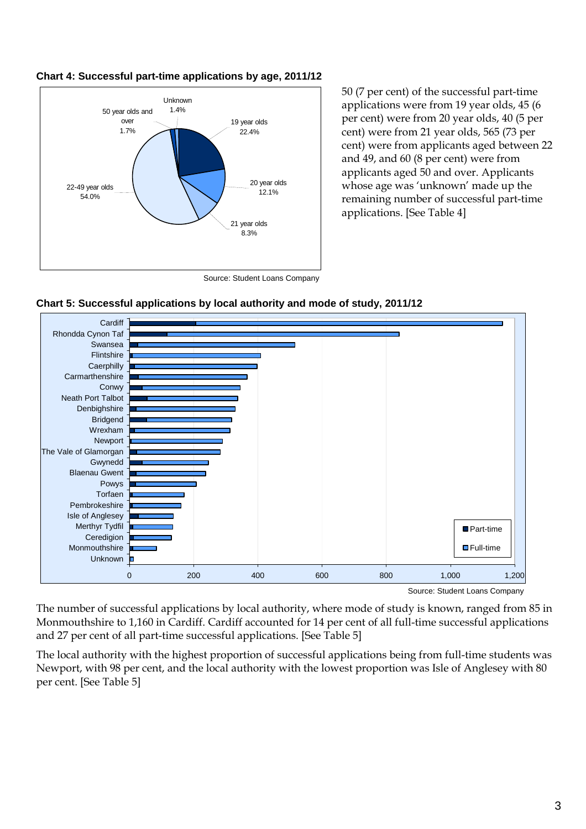

#### **Chart 4: Successful part-time applications by age, 2011/12**

50 (7 per cent) of the successful part-time applications were from 19 year olds, 45 (6 per cent) were from 20 year olds, 40 (5 per cent) were from 21 year olds, 565 (73 per cent) were from applicants aged between 22 and 49, and 60 (8 per cent) were from applicants aged 50 and over. Applicants whose age was 'unknown' made up the remaining number of successful part-time applications. [See Table 4]

Source: Student Loans Company





Source: Student Loans Company

The number of successful applications by local authority, where mode of study is known, ranged from 85 in Monmouthshire to 1,160 in Cardiff. Cardiff accounted for 14 per cent of all full-time successful applications and 27 per cent of all part-time successful applications. [See Table 5]

The local authority with the highest proportion of successful applications being from full-time students was Newport, with 98 per cent, and the local authority with the lowest proportion was Isle of Anglesey with 80 per cent. [See Table 5]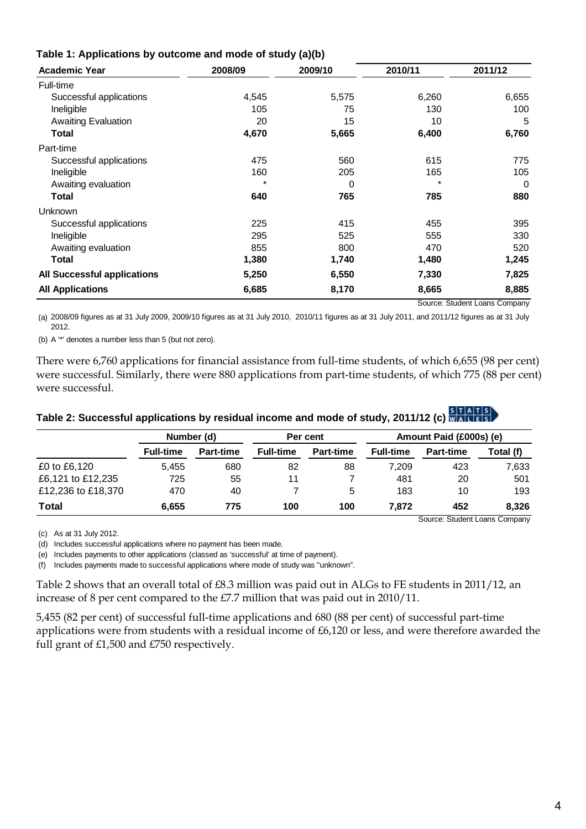| <b>Academic Year</b>        | 2008/09 | 2009/10 | 2010/11 | 2011/12 |  |  |
|-----------------------------|---------|---------|---------|---------|--|--|
| Full-time                   |         |         |         |         |  |  |
| Successful applications     | 4,545   | 5,575   | 6,260   | 6,655   |  |  |
| Ineligible                  | 105     | 75      | 130     | 100     |  |  |
| <b>Awaiting Evaluation</b>  | 20      | 15      | 10      | 5       |  |  |
| Total                       | 4,670   | 5,665   | 6,400   | 6,760   |  |  |
| Part-time                   |         |         |         |         |  |  |
| Successful applications     | 475     | 560     | 615     | 775     |  |  |
| Ineligible                  | 160     | 205     | 165     | 105     |  |  |
| Awaiting evaluation         |         | 0       |         | 0       |  |  |
| Total                       | 640     | 765     | 785     | 880     |  |  |
| <b>Unknown</b>              |         |         |         |         |  |  |
| Successful applications     | 225     | 415     | 455     | 395     |  |  |
| Ineligible                  | 295     | 525     | 555     | 330     |  |  |
| Awaiting evaluation         | 855     | 800     | 470     | 520     |  |  |
| <b>Total</b>                | 1,380   | 1,740   | 1,480   | 1,245   |  |  |
| All Successful applications | 5,250   | 6,550   | 7,330   | 7,825   |  |  |
| <b>All Applications</b>     | 6,685   | 8,170   | 8,665   | 8,885   |  |  |
|                             |         |         |         |         |  |  |

#### **Table 1: Applications by outcome and mode of study (a)(b)**

Source: Student Loans Company (a) 2008/09 figures as at 31 July 2009, 2009/10 figures as at 31 July 2010, 2010/11 figures as at 31 July 2011, and 2011/12 figures as at 31 July

(b) A '\*' denotes a number less than 5 (but not zero).

There were 6,760 applications for financial assistance from full-time students, of which 6,655 (98 per cent) were successful. Similarly, there were 880 applications from part-time students, of which 775 (88 per cent) were successful.

# **Table 2: Successful applications by residual income and mode of study, 2011/12 (c)**

|                    | Number (d)                    |                  | Per cent         |                  | Amount Paid (£000s) (e) |                  |           |
|--------------------|-------------------------------|------------------|------------------|------------------|-------------------------|------------------|-----------|
|                    | <b>Full-time</b>              | <b>Part-time</b> | <b>Full-time</b> | <b>Part-time</b> | <b>Full-time</b>        | <b>Part-time</b> | Total (f) |
| £0 to £6,120       | 5.455                         | 680              | 82               | 88               | 7,209                   | 423              | 7,633     |
| £6,121 to £12,235  | 725                           | 55               | 11               |                  | 481                     | 20               | 501       |
| £12,236 to £18,370 | 470                           | 40               |                  | 5                | 183                     | 10               | 193       |
| <b>Total</b>       | 6.655                         | 775              | 100              | 100              | 7.872                   | 452              | 8.326     |
|                    | Source: Student Loans Company |                  |                  |                  |                         |                  |           |

(c) As at 31 July 2012.

2012.

(d) Includes successful applications where no payment has been made.

(e) Includes payments to other applications (classed as 'successful' at time of payment).

(f) Includes payments made to successful applications where mode of study was "unknown".

Table 2 shows that an overall total of £8.3 million was paid out in ALGs to FE students in 2011/12, an increase of 8 per cent compared to the £7.7 million that was paid out in 2010/11.

5,455 (82 per cent) of successful full-time applications and 680 (88 per cent) of successful part-time applications were from students with a residual income of £6,120 or less, and were therefore awarded the full grant of £1,500 and £750 respectively.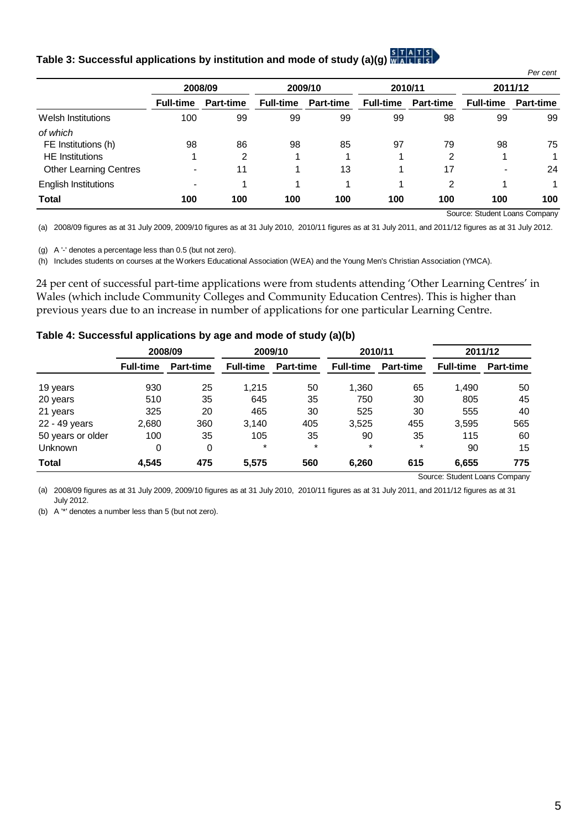## **Table 3: Successful applications by institution and mode of study (a)(g[\)](http://www.statswales.wales.gov.uk/TableViewer/tableView.aspx?ReportId=26126)**

|                               |                  |                  |                  |                  |                  |                  |                  | Per cent         |
|-------------------------------|------------------|------------------|------------------|------------------|------------------|------------------|------------------|------------------|
|                               | 2008/09          |                  | 2009/10          |                  | 2010/11          |                  | 2011/12          |                  |
|                               | <b>Full-time</b> | <b>Part-time</b> | <b>Full-time</b> | <b>Part-time</b> | <b>Full-time</b> | <b>Part-time</b> | <b>Full-time</b> | <b>Part-time</b> |
| Welsh Institutions            | 100              | 99               | 99               | 99               | 99               | 98               | 99               | 99               |
| of which                      |                  |                  |                  |                  |                  |                  |                  |                  |
| FE Institutions (h)           | 98               | 86               | 98               | 85               | 97               | 79               | 98               | 75               |
| <b>HE</b> Institutions        |                  | 2                |                  |                  |                  | 2                |                  |                  |
| <b>Other Learning Centres</b> | $\blacksquare$   | 11               |                  | 13               |                  | 17               |                  | 24               |
| English Institutions          | $\,$             |                  |                  | и                | 4                | 2                | 4                |                  |
| <b>Total</b>                  | 100              | 100              | 100              | 100              | 100              | 100              | 100              | 100              |

Source: Student Loans Company

(a) 2008/09 figures as at 31 July 2009, 2009/10 figures as at 31 July 2010, 2010/11 figures as at 31 July 2011, and 2011/12 figures as at 31 July 2012.

(g) A '-' denotes a percentage less than 0.5 (but not zero).

(h) Includes students on courses at the Workers Educational Association (WEA) and the Young Men's Christian Association (YMCA).

24 per cent of successful part-time applications were from students attending 'Other Learning Centres' in Wales (which include Community Colleges and Community Education Centres). This is higher than previous years due to an increase in number of applications for one particular Learning Centre.

#### **Table 4: Successful applications by age and mode of study (a)(b)**

|                   | 2008/09          |                  | 2009/10          |                  | 2010/11          |                  | 2011/12          |                  |
|-------------------|------------------|------------------|------------------|------------------|------------------|------------------|------------------|------------------|
|                   | <b>Full-time</b> | <b>Part-time</b> | <b>Full-time</b> | <b>Part-time</b> | <b>Full-time</b> | <b>Part-time</b> | <b>Full-time</b> | <b>Part-time</b> |
| 19 years          | 930              | 25               | 1.215            | 50               | 1,360            | 65               | 1,490            | 50               |
| 20 years          | 510              | 35               | 645              | 35               | 750              | 30               | 805              | 45               |
| 21 years          | 325              | 20               | 465              | 30               | 525              | 30               | 555              | 40               |
| 22 - 49 years     | 2,680            | 360              | 3.140            | 405              | 3,525            | 455              | 3,595            | 565              |
| 50 years or older | 100              | 35               | 105              | 35               | 90               | 35               | 115              | 60               |
| <b>Unknown</b>    | 0                | 0                | $\ast$           | $\star$          | $\ast$           | $\star$          | 90               | 15               |
| <b>Total</b>      | 4,545            | 475              | 5,575            | 560              | 6,260            | 615              | 6,655            | 775              |

Source: Student Loans Company

(a) 2008/09 figures as at 31 July 2009, 2009/10 figures as at 31 July 2010, 2010/11 figures as at 31 July 2011, and 2011/12 figures as at 31 July 2012.

(b) A '\*' denotes a number less than 5 (but not zero).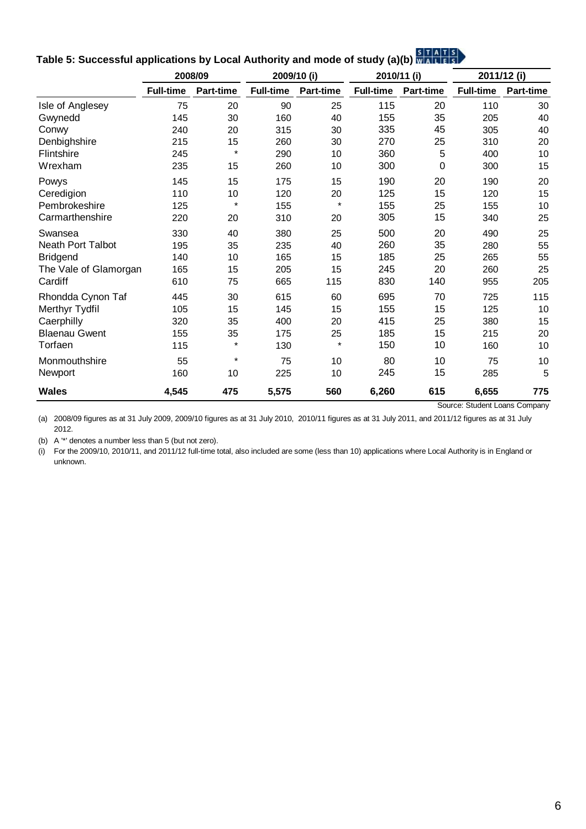|                          | 2008/09          |                  | 2009/10 (i)      |                  | 2010/11 (i)      |           | 2011/12 (i)      |           |
|--------------------------|------------------|------------------|------------------|------------------|------------------|-----------|------------------|-----------|
|                          | <b>Full-time</b> | <b>Part-time</b> | <b>Full-time</b> | <b>Part-time</b> | <b>Full-time</b> | Part-time | <b>Full-time</b> | Part-time |
| Isle of Anglesey         | 75               | 20               | 90               | 25               | 115              | 20        | 110              | 30        |
| Gwynedd                  | 145              | 30               | 160              | 40               | 155              | 35        | 205              | 40        |
| Conwy                    | 240              | 20               | 315              | 30               | 335              | 45        | 305              | 40        |
| Denbighshire             | 215              | 15               | 260              | 30               | 270              | 25        | 310              | 20        |
| Flintshire               | 245              | $\star$          | 290              | 10               | 360              | 5         | 400              | 10        |
| Wrexham                  | 235              | 15               | 260              | 10               | 300              | 0         | 300              | 15        |
| Powys                    | 145              | 15               | 175              | 15               | 190              | 20        | 190              | 20        |
| Ceredigion               | 110              | 10               | 120              | 20               | 125              | 15        | 120              | 15        |
| Pembrokeshire            | 125              | $\star$          | 155              | $\star$          | 155              | 25        | 155              | 10        |
| Carmarthenshire          | 220              | 20               | 310              | 20               | 305              | 15        | 340              | 25        |
| Swansea                  | 330              | 40               | 380              | 25               | 500              | 20        | 490              | 25        |
| <b>Neath Port Talbot</b> | 195              | 35               | 235              | 40               | 260              | 35        | 280              | 55        |
| <b>Bridgend</b>          | 140              | 10               | 165              | 15               | 185              | 25        | 265              | 55        |
| The Vale of Glamorgan    | 165              | 15               | 205              | 15               | 245              | 20        | 260              | 25        |
| Cardiff                  | 610              | 75               | 665              | 115              | 830              | 140       | 955              | 205       |
| Rhondda Cynon Taf        | 445              | 30               | 615              | 60               | 695              | 70        | 725              | 115       |
| Merthyr Tydfil           | 105              | 15               | 145              | 15               | 155              | 15        | 125              | 10        |
| Caerphilly               | 320              | 35               | 400              | 20               | 415              | 25        | 380              | 15        |
| <b>Blaenau Gwent</b>     | 155              | 35               | 175              | 25               | 185              | 15        | 215              | 20        |
| Torfaen                  | 115              | $\star$          | 130              | $\star$          | 150              | 10        | 160              | 10        |
| Monmouthshire            | 55               | $\star$          | 75               | 10               | 80               | 10        | 75               | 10        |
| Newport                  | 160              | 10               | 225              | 10               | 245              | 15        | 285              | 5         |
| <b>Wales</b>             | 4,545            | 475              | 5,575            | 560              | 6,260            | 615       | 6,655            | 775       |

# **Table 5: Successful applications by Local Authority and mode of study (a)(b[\)](http://www.statswales.wales.gov.uk/TableViewer/tableView.aspx?ReportId=1996)**

Source: Student Loans Company

(a) 2008/09 figures as at 31 July 2009, 2009/10 figures as at 31 July 2010, 2010/11 figures as at 31 July 2011, and 2011/12 figures as at 31 July 2012.

(b) A '\*' denotes a number less than 5 (but not zero).

(i) For the 2009/10, 2010/11, and 2011/12 full-time total, also included are some (less than 10) applications where Local Authority is in England or unknown.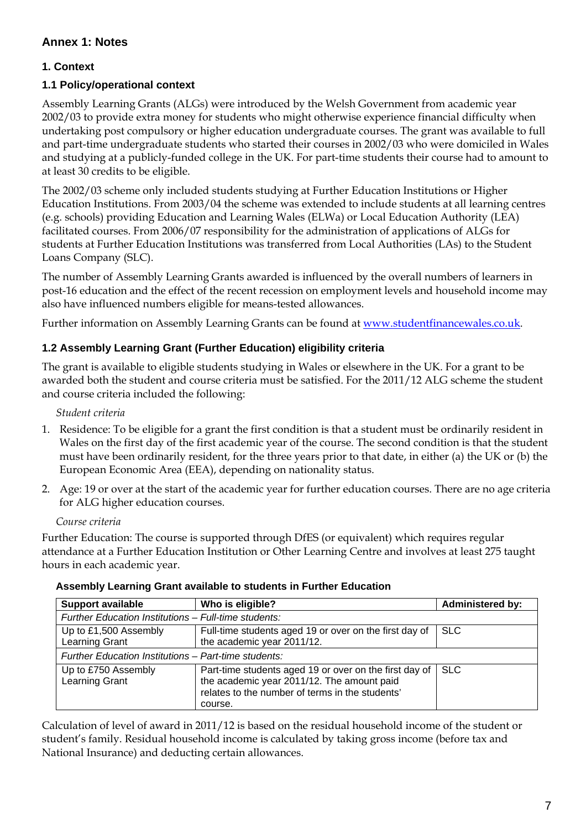## **1. Context**

## **1.1 Policy/operational context**

Assembly Learning Grants (ALGs) were introduced by the Welsh Government from academic year 2002/03 to provide extra money for students who might otherwise experience financial difficulty when undertaking post compulsory or higher education undergraduate courses. The grant was available to full and part-time undergraduate students who started their courses in 2002/03 who were domiciled in Wales and studying at a publicly-funded college in the UK. For part-time students their course had to amount to at least 30 credits to be eligible.

The 2002/03 scheme only included students studying at Further Education Institutions or Higher Education Institutions. From 2003/04 the scheme was extended to include students at all learning centres (e.g. schools) providing Education and Learning Wales (ELWa) or Local Education Authority (LEA) facilitated courses. From 2006/07 responsibility for the administration of applications of ALGs for students at Further Education Institutions was transferred from Local Authorities (LAs) to the Student Loans Company (SLC).

The number of Assembly Learning Grants awarded is influenced by the overall numbers of learners in post-16 education and the effect of the recent recession on employment levels and household income may also have influenced numbers eligible for means-tested allowances.

Further information on Assembly Learning Grants can be found at [www.studentfinancewales.co.uk](http://www.studentfinancewales.co.uk/portal/page?_pageid=616,6382813&_dad=portal&_schema=PORTAL).

## **1.2 Assembly Learning Grant (Further Education) eligibility criteria**

The grant is available to eligible students studying in Wales or elsewhere in the UK. For a grant to be awarded both the student and course criteria must be satisfied. For the 2011/12 ALG scheme the student and course criteria included the following:

*Student criteria* 

- 1. Residence: To be eligible for a grant the first condition is that a student must be ordinarily resident in Wales on the first day of the first academic year of the course. The second condition is that the student must have been ordinarily resident, for the three years prior to that date, in either (a) the UK or (b) the European Economic Area (EEA), depending on nationality status.
- 2. Age: 19 or over at the start of the academic year for further education courses. There are no age criteria for ALG higher education courses.

#### *Course criteria*

Further Education: The course is supported through DfES (or equivalent) which requires regular attendance at a Further Education Institution or Other Learning Centre and involves at least 275 taught hours in each academic year.

| <b>Support available</b>                             | <b>Administered by:</b>                                                                                                                                            |            |  |  |  |  |
|------------------------------------------------------|--------------------------------------------------------------------------------------------------------------------------------------------------------------------|------------|--|--|--|--|
| Further Education Institutions - Full-time students: |                                                                                                                                                                    |            |  |  |  |  |
| Up to £1,500 Assembly<br><b>Learning Grant</b>       | Full-time students aged 19 or over on the first day of<br>the academic year 2011/12.                                                                               | <b>SLC</b> |  |  |  |  |
| Further Education Institutions - Part-time students: |                                                                                                                                                                    |            |  |  |  |  |
| Up to £750 Assembly<br>Learning Grant                | Part-time students aged 19 or over on the first day of<br>the academic year 2011/12. The amount paid<br>relates to the number of terms in the students'<br>course. | <b>SLC</b> |  |  |  |  |

#### **Assembly Learning Grant available to students in Further Education**

Calculation of level of award in 2011/12 is based on the residual household income of the student or student's family. Residual household income is calculated by taking gross income (before tax and National Insurance) and deducting certain allowances.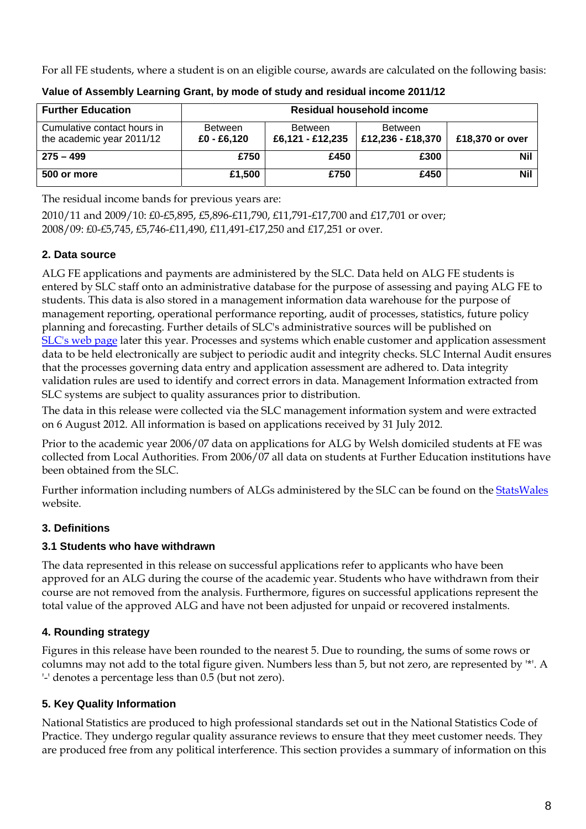For all FE students, where a student is on an eligible course, awards are calculated on the following basis:

| <b>Further Education</b>                                 | Residual household income       |                                    |                              |                 |  |  |  |  |  |
|----------------------------------------------------------|---------------------------------|------------------------------------|------------------------------|-----------------|--|--|--|--|--|
| Cumulative contact hours in<br>the academic year 2011/12 | <b>Between</b><br>$£0 - £6,120$ | <b>Between</b><br>£6,121 - £12,235 | Between<br>£12,236 - £18,370 | £18,370 or over |  |  |  |  |  |
| $275 - 499$                                              | £750                            | £450                               | £300                         | <b>Nil</b>      |  |  |  |  |  |
| 500 or more                                              | £1,500                          | £750                               | £450                         | <b>Nil</b>      |  |  |  |  |  |

**Value of Assembly Learning Grant, by mode of study and residual income 2011/12** 

The residual income bands for previous years are:

2010/11 and 2009/10: £0-£5,895, £5,896-£11,790, £11,791-£17,700 and £17,701 or over; 2008/09: £0-£5,745, £5,746-£11,490, £11,491-£17,250 and £17,251 or over.

## **2. Data source**

ALG FE applications and payments are administered by the SLC. Data held on ALG FE students is entered by SLC staff onto an administrative database for the purpose of assessing and paying ALG FE to students. This data is also stored in a management information data warehouse for the purpose of management reporting, operational performance reporting, audit of processes, statistics, future policy planning and forecasting. Further details of SLC's administrative sources will be published on [SLC's web page](http://www.slc.co.uk/) later this year. Processes and systems which enable customer and application assessment data to be held electronically are subject to periodic audit and integrity checks. SLC Internal Audit ensures that the processes governing data entry and application assessment are adhered to. Data integrity validation rules are used to identify and correct errors in data. Management Information extracted from SLC systems are subject to quality assurances prior to distribution.

The data in this release were collected via the SLC management information system and were extracted on 6 August 2012. All information is based on applications received by 31 July 2012.

Prior to the academic year 2006/07 data on applications for ALG by Welsh domiciled students at FE was collected from Local Authorities. From 2006/07 all data on students at Further Education institutions have been obtained from the SLC.

Further information including numbers of ALGs administered by the SLC can be found on the [StatsWales](http://www.statswales.wales.gov.uk/ReportFolders/ReportFolders.aspx) website.

## **3. Definitions**

## **3.1 Students who have withdrawn**

The data represented in this release on successful applications refer to applicants who have been approved for an ALG during the course of the academic year. Students who have withdrawn from their course are not removed from the analysis. Furthermore, figures on successful applications represent the total value of the approved ALG and have not been adjusted for unpaid or recovered instalments.

## **4. Rounding strategy**

Figures in this release have been rounded to the nearest 5. Due to rounding, the sums of some rows or columns may not add to the total figure given. Numbers less than 5, but not zero, are represented by '\*'. A '-' denotes a percentage less than 0.5 (but not zero).

## **5. Key Quality Information**

National Statistics are produced to high professional standards set out in the National Statistics Code of Practice. They undergo regular quality assurance reviews to ensure that they meet customer needs. They are produced free from any political interference. This section provides a summary of information on this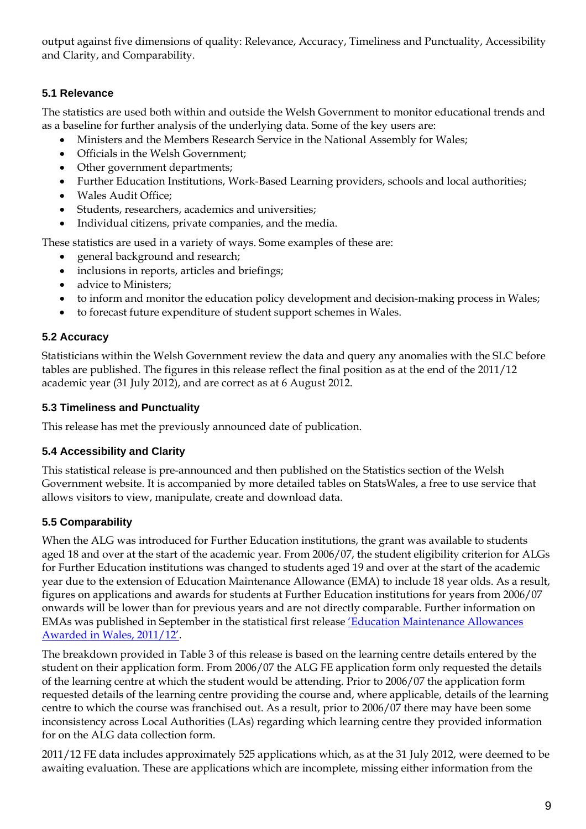output against five dimensions of quality: Relevance, Accuracy, Timeliness and Punctuality, Accessibility and Clarity, and Comparability.

## **5.1 Relevance**

The statistics are used both within and outside the Welsh Government to monitor educational trends and as a baseline for further analysis of the underlying data. Some of the key users are:

- Ministers and the Members Research Service in the National Assembly for Wales;
- Officials in the Welsh Government;
- Other government departments;
- Further Education Institutions, Work-Based Learning providers, schools and local authorities;
- Wales Audit Office;
- Students, researchers, academics and universities;
- Individual citizens, private companies, and the media.

These statistics are used in a variety of ways. Some examples of these are:

- general background and research;
- inclusions in reports, articles and briefings;
- advice to Ministers:
- to inform and monitor the education policy development and decision-making process in Wales;
- to forecast future expenditure of student support schemes in Wales.

## **5.2 Accuracy**

Statisticians within the Welsh Government review the data and query any anomalies with the SLC before tables are published. The figures in this release reflect the final position as at the end of the 2011/12 academic year (31 July 2012), and are correct as at 6 August 2012.

## **5.3 Timeliness and Punctuality**

This release has met the previously announced date of publication.

## **5.4 Accessibility and Clarity**

This statistical release is pre-announced and then published on the Statistics section of the Welsh Government website. It is accompanied by more detailed tables on StatsWales, a free to use service that allows visitors to view, manipulate, create and download data.

## **5.5 Comparability**

When the ALG was introduced for Further Education institutions, the grant was available to students aged 18 and over at the start of the academic year. From 2006/07, the student eligibility criterion for ALGs for Further Education institutions was changed to students aged 19 and over at the start of the academic year due to the extension of Education Maintenance Allowance (EMA) to include 18 year olds. As a result, figures on applications and awards for students at Further Education institutions for years from 2006/07 onwards will be lower than for previous years and are not directly comparable. Further information on EMAs was published in September in the statistical first release ['Education Maintenance Allowances](http://wales.gov.uk/topics/statistics/headlines/post16education2012/?lang=en)  [Awarded in Wales, 2011/12'.](http://wales.gov.uk/topics/statistics/headlines/post16education2012/?lang=en)

The breakdown provided in Table 3 of this release is based on the learning centre details entered by the student on their application form. From 2006/07 the ALG FE application form only requested the details of the learning centre at which the student would be attending. Prior to 2006/07 the application form requested details of the learning centre providing the course and, where applicable, details of the learning centre to which the course was franchised out. As a result, prior to 2006/07 there may have been some inconsistency across Local Authorities (LAs) regarding which learning centre they provided information for on the ALG data collection form.

2011/12 FE data includes approximately 525 applications which, as at the 31 July 2012, were deemed to be awaiting evaluation. These are applications which are incomplete, missing either information from the